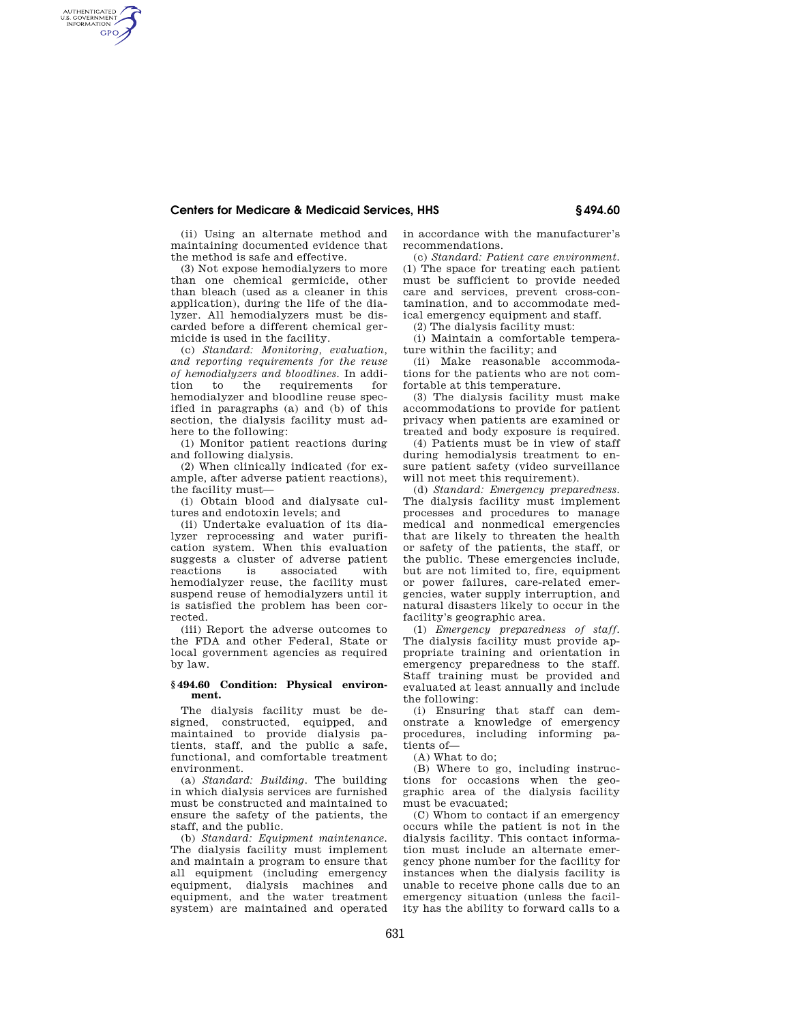## **Centers for Medicare & Medicaid Services, HHS § 494.60**

(ii) Using an alternate method and maintaining documented evidence that the method is safe and effective.

AUTHENTICATED<br>U.S. GOVERNMENT<br>INFORMATION **GPO** 

> (3) Not expose hemodialyzers to more than one chemical germicide, other than bleach (used as a cleaner in this application), during the life of the dialyzer. All hemodialyzers must be discarded before a different chemical germicide is used in the facility.

> (c) *Standard: Monitoring, evaluation, and reporting requirements for the reuse of hemodialyzers and bloodlines.* In addition to the requirements for hemodialyzer and bloodline reuse specified in paragraphs (a) and (b) of this section, the dialysis facility must adhere to the following:

(1) Monitor patient reactions during and following dialysis.

(2) When clinically indicated (for example, after adverse patient reactions), the facility must—

(i) Obtain blood and dialysate cultures and endotoxin levels; and

(ii) Undertake evaluation of its dialyzer reprocessing and water purification system. When this evaluation suggests a cluster of adverse patient reactions is associated with hemodialyzer reuse, the facility must suspend reuse of hemodialyzers until it is satisfied the problem has been corrected.

(iii) Report the adverse outcomes to the FDA and other Federal, State or local government agencies as required by law.

## **§ 494.60 Condition: Physical environment.**

The dialysis facility must be designed, constructed, equipped, and maintained to provide dialysis patients, staff, and the public a safe, functional, and comfortable treatment environment.

(a) *Standard: Building.* The building in which dialysis services are furnished must be constructed and maintained to ensure the safety of the patients, the staff, and the public.

(b) *Standard: Equipment maintenance.*  The dialysis facility must implement and maintain a program to ensure that all equipment (including emergency equipment, dialysis machines and equipment, and the water treatment system) are maintained and operated

in accordance with the manufacturer's recommendations.

(c) *Standard: Patient care environment.*  (1) The space for treating each patient must be sufficient to provide needed care and services, prevent cross-contamination, and to accommodate medical emergency equipment and staff.

(2) The dialysis facility must:

(i) Maintain a comfortable temperature within the facility; and

(ii) Make reasonable accommodations for the patients who are not comfortable at this temperature.

(3) The dialysis facility must make accommodations to provide for patient privacy when patients are examined or treated and body exposure is required.

(4) Patients must be in view of staff during hemodialysis treatment to ensure patient safety (video surveillance will not meet this requirement).

(d) *Standard: Emergency preparedness.*  The dialysis facility must implement processes and procedures to manage medical and nonmedical emergencies that are likely to threaten the health or safety of the patients, the staff, or the public. These emergencies include, but are not limited to, fire, equipment or power failures, care-related emergencies, water supply interruption, and natural disasters likely to occur in the facility's geographic area.

(1) *Emergency preparedness of staff.*  The dialysis facility must provide appropriate training and orientation in emergency preparedness to the staff. Staff training must be provided and evaluated at least annually and include the following:

(i) Ensuring that staff can demonstrate a knowledge of emergency procedures, including informing patients of—

(A) What to do;

(B) Where to go, including instructions for occasions when the geographic area of the dialysis facility must be evacuated;

(C) Whom to contact if an emergency occurs while the patient is not in the dialysis facility. This contact information must include an alternate emergency phone number for the facility for instances when the dialysis facility is unable to receive phone calls due to an emergency situation (unless the facility has the ability to forward calls to a